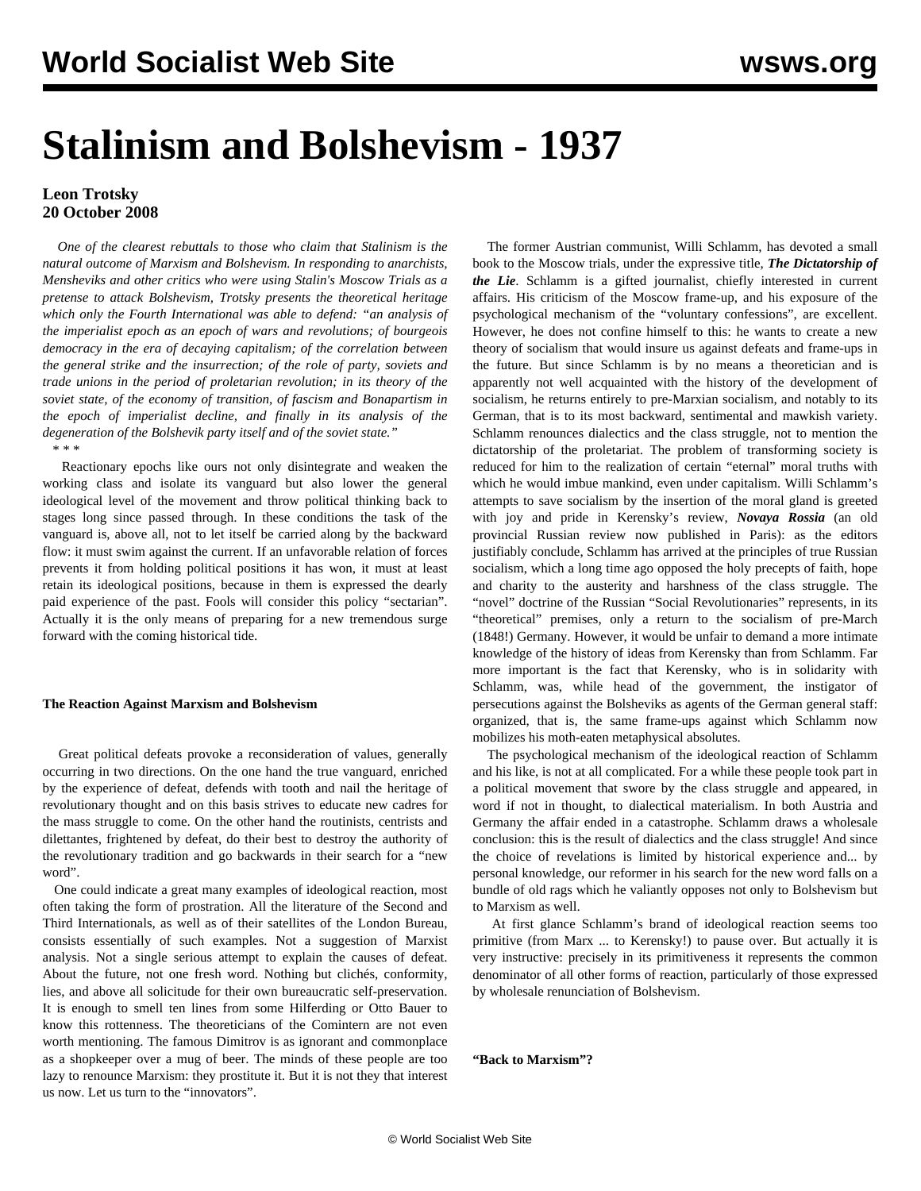# **Stalinism and Bolshevism - 1937**

### **Leon Trotsky 20 October 2008**

 *One of the clearest rebuttals to those who claim that Stalinism is the natural outcome of Marxism and Bolshevism. In responding to anarchists, Mensheviks and other critics who were using Stalin's Moscow Trials as a pretense to attack Bolshevism, Trotsky presents the theoretical heritage which only the Fourth International was able to defend: "an analysis of the imperialist epoch as an epoch of wars and revolutions; of bourgeois democracy in the era of decaying capitalism; of the correlation between the general strike and the insurrection; of the role of party, soviets and trade unions in the period of proletarian revolution; in its theory of the soviet state, of the economy of transition, of fascism and Bonapartism in the epoch of imperialist decline, and finally in its analysis of the degeneration of the Bolshevik party itself and of the soviet state."* \* \* \*

 Reactionary epochs like ours not only disintegrate and weaken the working class and isolate its vanguard but also lower the general ideological level of the movement and throw political thinking back to stages long since passed through. In these conditions the task of the vanguard is, above all, not to let itself be carried along by the backward flow: it must swim against the current. If an unfavorable relation of forces prevents it from holding political positions it has won, it must at least retain its ideological positions, because in them is expressed the dearly paid experience of the past. Fools will consider this policy "sectarian". Actually it is the only means of preparing for a new tremendous surge forward with the coming historical tide.

#### **The Reaction Against Marxism and Bolshevism**

 Great political defeats provoke a reconsideration of values, generally occurring in two directions. On the one hand the true vanguard, enriched by the experience of defeat, defends with tooth and nail the heritage of revolutionary thought and on this basis strives to educate new cadres for the mass struggle to come. On the other hand the routinists, centrists and dilettantes, frightened by defeat, do their best to destroy the authority of the revolutionary tradition and go backwards in their search for a "new word".

 One could indicate a great many examples of ideological reaction, most often taking the form of prostration. All the literature of the Second and Third Internationals, as well as of their satellites of the London Bureau, consists essentially of such examples. Not a suggestion of Marxist analysis. Not a single serious attempt to explain the causes of defeat. About the future, not one fresh word. Nothing but clichés, conformity, lies, and above all solicitude for their own bureaucratic self-preservation. It is enough to smell ten lines from some Hilferding or Otto Bauer to know this rottenness. The theoreticians of the Comintern are not even worth mentioning. The famous Dimitrov is as ignorant and commonplace as a shopkeeper over a mug of beer. The minds of these people are too lazy to renounce Marxism: they prostitute it. But it is not they that interest us now. Let us turn to the "innovators".

 The former Austrian communist, Willi Schlamm, has devoted a small book to the Moscow trials, under the expressive title, *The Dictatorship of the Lie*. Schlamm is a gifted journalist, chiefly interested in current affairs. His criticism of the Moscow frame-up, and his exposure of the psychological mechanism of the "voluntary confessions", are excellent. However, he does not confine himself to this: he wants to create a new theory of socialism that would insure us against defeats and frame-ups in the future. But since Schlamm is by no means a theoretician and is apparently not well acquainted with the history of the development of socialism, he returns entirely to pre-Marxian socialism, and notably to its German, that is to its most backward, sentimental and mawkish variety. Schlamm renounces dialectics and the class struggle, not to mention the dictatorship of the proletariat. The problem of transforming society is reduced for him to the realization of certain "eternal" moral truths with which he would imbue mankind, even under capitalism. Willi Schlamm's attempts to save socialism by the insertion of the moral gland is greeted with joy and pride in Kerensky's review, *Novaya Rossia* (an old provincial Russian review now published in Paris): as the editors justifiably conclude, Schlamm has arrived at the principles of true Russian socialism, which a long time ago opposed the holy precepts of faith, hope and charity to the austerity and harshness of the class struggle. The "novel" doctrine of the Russian "Social Revolutionaries" represents, in its "theoretical" premises, only a return to the socialism of pre-March (1848!) Germany. However, it would be unfair to demand a more intimate knowledge of the history of ideas from Kerensky than from Schlamm. Far more important is the fact that Kerensky, who is in solidarity with Schlamm, was, while head of the government, the instigator of persecutions against the Bolsheviks as agents of the German general staff: organized, that is, the same frame-ups against which Schlamm now mobilizes his moth-eaten metaphysical absolutes.

 The psychological mechanism of the ideological reaction of Schlamm and his like, is not at all complicated. For a while these people took part in a political movement that swore by the class struggle and appeared, in word if not in thought, to dialectical materialism. In both Austria and Germany the affair ended in a catastrophe. Schlamm draws a wholesale conclusion: this is the result of dialectics and the class struggle! And since the choice of revelations is limited by historical experience and... by personal knowledge, our reformer in his search for the new word falls on a bundle of old rags which he valiantly opposes not only to Bolshevism but to Marxism as well.

 At first glance Schlamm's brand of ideological reaction seems too primitive (from Marx ... to Kerensky!) to pause over. But actually it is very instructive: precisely in its primitiveness it represents the common denominator of all other forms of reaction, particularly of those expressed by wholesale renunciation of Bolshevism.

**"Back to Marxism"?**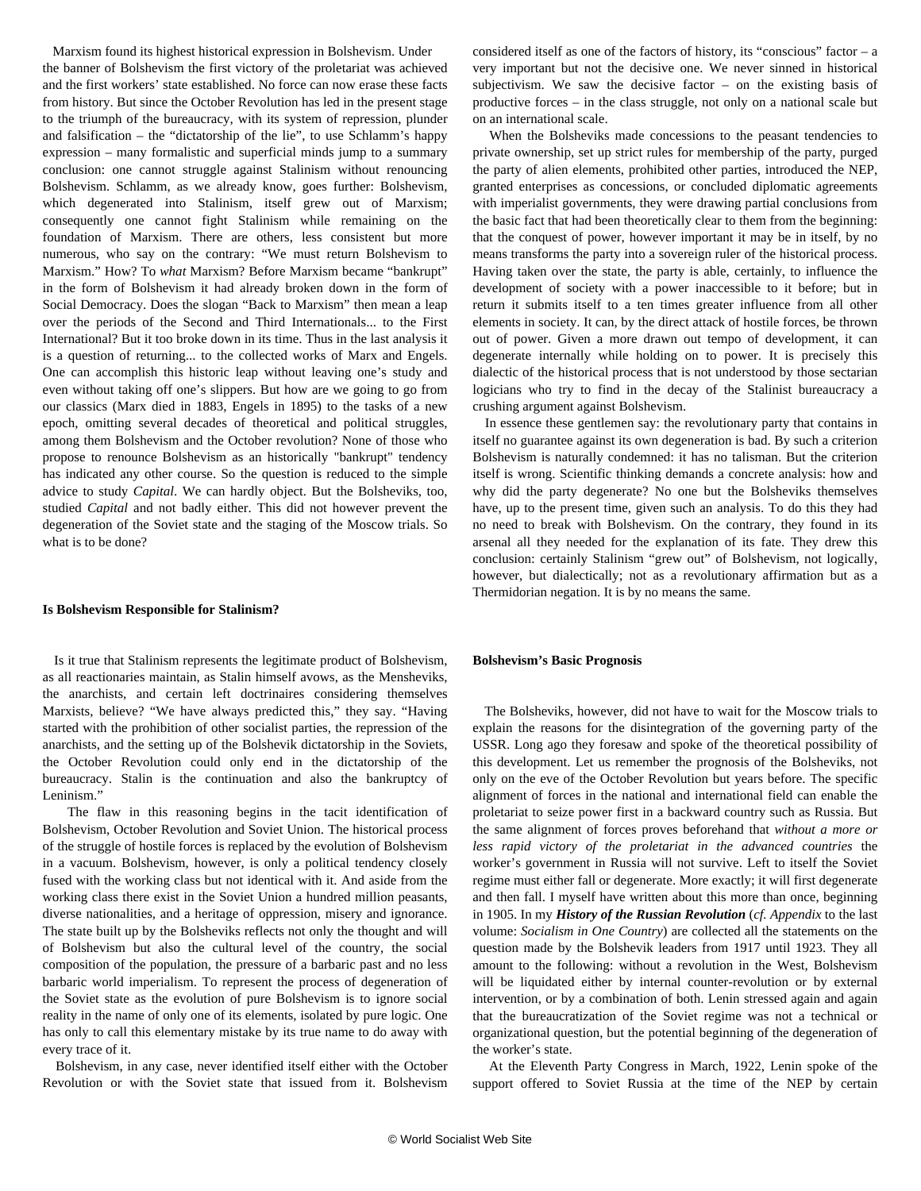Marxism found its highest historical expression in Bolshevism. Under the banner of Bolshevism the first victory of the proletariat was achieved and the first workers' state established. No force can now erase these facts from history. But since the October Revolution has led in the present stage to the triumph of the bureaucracy, with its system of repression, plunder and falsification – the "dictatorship of the lie", to use Schlamm's happy expression – many formalistic and superficial minds jump to a summary conclusion: one cannot struggle against Stalinism without renouncing Bolshevism. Schlamm, as we already know, goes further: Bolshevism, which degenerated into Stalinism, itself grew out of Marxism; consequently one cannot fight Stalinism while remaining on the foundation of Marxism. There are others, less consistent but more numerous, who say on the contrary: "We must return Bolshevism to Marxism." How? To *what* Marxism? Before Marxism became "bankrupt" in the form of Bolshevism it had already broken down in the form of Social Democracy. Does the slogan "Back to Marxism" then mean a leap over the periods of the Second and Third Internationals... to the First International? But it too broke down in its time. Thus in the last analysis it is a question of returning... to the collected works of Marx and Engels. One can accomplish this historic leap without leaving one's study and even without taking off one's slippers. But how are we going to go from our classics (Marx died in 1883, Engels in 1895) to the tasks of a new epoch, omitting several decades of theoretical and political struggles, among them Bolshevism and the October revolution? None of those who propose to renounce Bolshevism as an historically "bankrupt" tendency has indicated any other course. So the question is reduced to the simple advice to study *Capital*. We can hardly object. But the Bolsheviks, too, studied *Capital* and not badly either. This did not however prevent the degeneration of the Soviet state and the staging of the Moscow trials. So what is to be done?

#### **Is Bolshevism Responsible for Stalinism?**

 Is it true that Stalinism represents the legitimate product of Bolshevism, as all reactionaries maintain, as Stalin himself avows, as the Mensheviks, the anarchists, and certain left doctrinaires considering themselves Marxists, believe? "We have always predicted this," they say. "Having started with the prohibition of other socialist parties, the repression of the anarchists, and the setting up of the Bolshevik dictatorship in the Soviets, the October Revolution could only end in the dictatorship of the bureaucracy. Stalin is the continuation and also the bankruptcy of Leninism."

 The flaw in this reasoning begins in the tacit identification of Bolshevism, October Revolution and Soviet Union. The historical process of the struggle of hostile forces is replaced by the evolution of Bolshevism in a vacuum. Bolshevism, however, is only a political tendency closely fused with the working class but not identical with it. And aside from the working class there exist in the Soviet Union a hundred million peasants, diverse nationalities, and a heritage of oppression, misery and ignorance. The state built up by the Bolsheviks reflects not only the thought and will of Bolshevism but also the cultural level of the country, the social composition of the population, the pressure of a barbaric past and no less barbaric world imperialism. To represent the process of degeneration of the Soviet state as the evolution of pure Bolshevism is to ignore social reality in the name of only one of its elements, isolated by pure logic. One has only to call this elementary mistake by its true name to do away with every trace of it.

 Bolshevism, in any case, never identified itself either with the October Revolution or with the Soviet state that issued from it. Bolshevism

considered itself as one of the factors of history, its "conscious" factor – a very important but not the decisive one. We never sinned in historical subjectivism. We saw the decisive factor – on the existing basis of productive forces – in the class struggle, not only on a national scale but on an international scale.

 When the Bolsheviks made concessions to the peasant tendencies to private ownership, set up strict rules for membership of the party, purged the party of alien elements, prohibited other parties, introduced the NEP, granted enterprises as concessions, or concluded diplomatic agreements with imperialist governments, they were drawing partial conclusions from the basic fact that had been theoretically clear to them from the beginning: that the conquest of power, however important it may be in itself, by no means transforms the party into a sovereign ruler of the historical process. Having taken over the state, the party is able, certainly, to influence the development of society with a power inaccessible to it before; but in return it submits itself to a ten times greater influence from all other elements in society. It can, by the direct attack of hostile forces, be thrown out of power. Given a more drawn out tempo of development, it can degenerate internally while holding on to power. It is precisely this dialectic of the historical process that is not understood by those sectarian logicians who try to find in the decay of the Stalinist bureaucracy a crushing argument against Bolshevism.

 In essence these gentlemen say: the revolutionary party that contains in itself no guarantee against its own degeneration is bad. By such a criterion Bolshevism is naturally condemned: it has no talisman. But the criterion itself is wrong. Scientific thinking demands a concrete analysis: how and why did the party degenerate? No one but the Bolsheviks themselves have, up to the present time, given such an analysis. To do this they had no need to break with Bolshevism. On the contrary, they found in its arsenal all they needed for the explanation of its fate. They drew this conclusion: certainly Stalinism "grew out" of Bolshevism, not logically, however, but dialectically; not as a revolutionary affirmation but as a Thermidorian negation. It is by no means the same.

#### **Bolshevism's Basic Prognosis**

 The Bolsheviks, however, did not have to wait for the Moscow trials to explain the reasons for the disintegration of the governing party of the USSR. Long ago they foresaw and spoke of the theoretical possibility of this development. Let us remember the prognosis of the Bolsheviks, not only on the eve of the October Revolution but years before. The specific alignment of forces in the national and international field can enable the proletariat to seize power first in a backward country such as Russia. But the same alignment of forces proves beforehand that *without a more or less rapid victory of the proletariat in the advanced countries* the worker's government in Russia will not survive. Left to itself the Soviet regime must either fall or degenerate. More exactly; it will first degenerate and then fall. I myself have written about this more than once, beginning in 1905. In my *History of the Russian Revolution* (*cf. Appendix* to the last volume: *Socialism in One Country*) are collected all the statements on the question made by the Bolshevik leaders from 1917 until 1923. They all amount to the following: without a revolution in the West, Bolshevism will be liquidated either by internal counter-revolution or by external intervention, or by a combination of both. Lenin stressed again and again that the bureaucratization of the Soviet regime was not a technical or organizational question, but the potential beginning of the degeneration of the worker's state.

 At the Eleventh Party Congress in March, 1922, Lenin spoke of the support offered to Soviet Russia at the time of the NEP by certain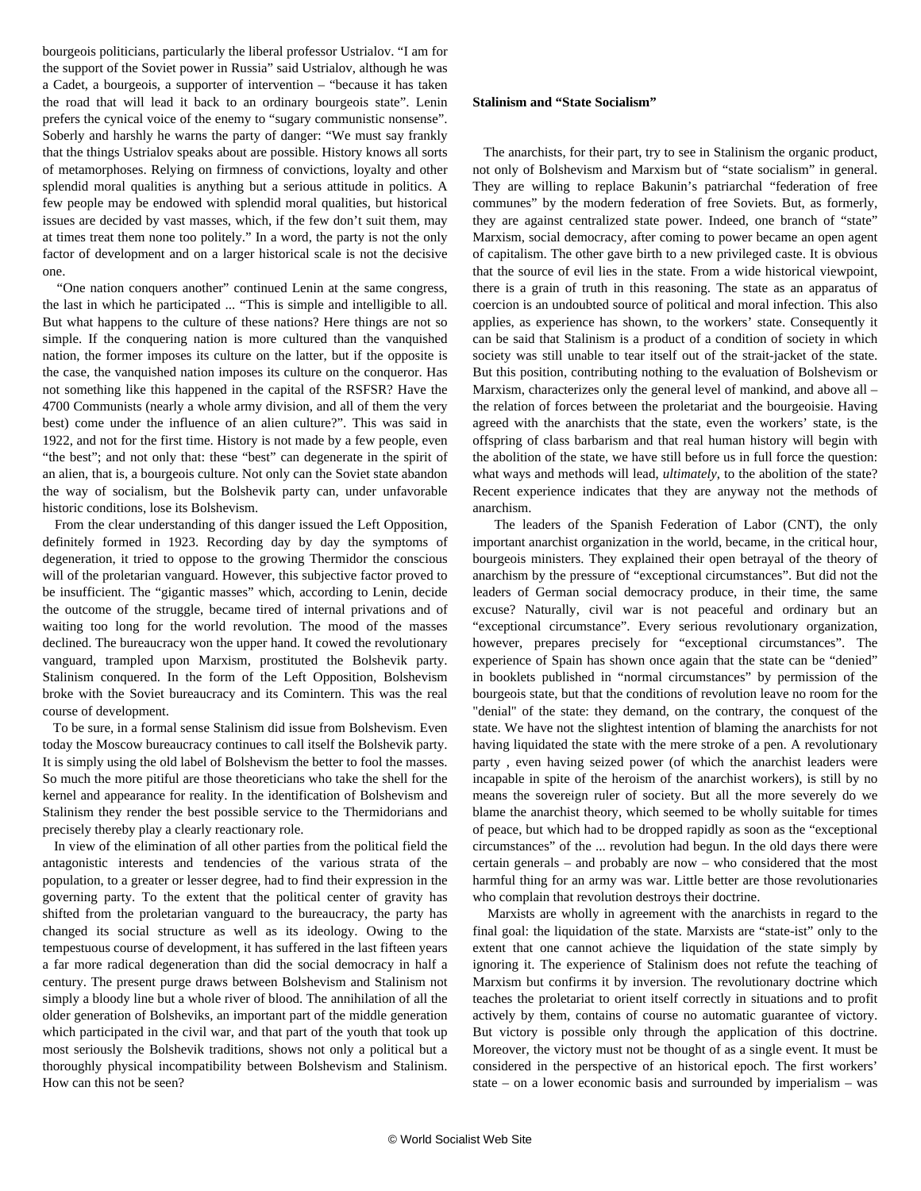bourgeois politicians, particularly the liberal professor Ustrialov. "I am for the support of the Soviet power in Russia" said Ustrialov, although he was a Cadet, a bourgeois, a supporter of intervention – "because it has taken the road that will lead it back to an ordinary bourgeois state". Lenin prefers the cynical voice of the enemy to "sugary communistic nonsense". Soberly and harshly he warns the party of danger: "We must say frankly that the things Ustrialov speaks about are possible. History knows all sorts of metamorphoses. Relying on firmness of convictions, loyalty and other splendid moral qualities is anything but a serious attitude in politics. A few people may be endowed with splendid moral qualities, but historical issues are decided by vast masses, which, if the few don't suit them, may at times treat them none too politely." In a word, the party is not the only factor of development and on a larger historical scale is not the decisive one.

 "One nation conquers another" continued Lenin at the same congress, the last in which he participated ... "This is simple and intelligible to all. But what happens to the culture of these nations? Here things are not so simple. If the conquering nation is more cultured than the vanquished nation, the former imposes its culture on the latter, but if the opposite is the case, the vanquished nation imposes its culture on the conqueror. Has not something like this happened in the capital of the RSFSR? Have the 4700 Communists (nearly a whole army division, and all of them the very best) come under the influence of an alien culture?". This was said in 1922, and not for the first time. History is not made by a few people, even "the best"; and not only that: these "best" can degenerate in the spirit of an alien, that is, a bourgeois culture. Not only can the Soviet state abandon the way of socialism, but the Bolshevik party can, under unfavorable historic conditions, lose its Bolshevism.

 From the clear understanding of this danger issued the Left Opposition, definitely formed in 1923. Recording day by day the symptoms of degeneration, it tried to oppose to the growing Thermidor the conscious will of the proletarian vanguard. However, this subjective factor proved to be insufficient. The "gigantic masses" which, according to Lenin, decide the outcome of the struggle, became tired of internal privations and of waiting too long for the world revolution. The mood of the masses declined. The bureaucracy won the upper hand. It cowed the revolutionary vanguard, trampled upon Marxism, prostituted the Bolshevik party. Stalinism conquered. In the form of the Left Opposition, Bolshevism broke with the Soviet bureaucracy and its Comintern. This was the real course of development.

 To be sure, in a formal sense Stalinism did issue from Bolshevism. Even today the Moscow bureaucracy continues to call itself the Bolshevik party. It is simply using the old label of Bolshevism the better to fool the masses. So much the more pitiful are those theoreticians who take the shell for the kernel and appearance for reality. In the identification of Bolshevism and Stalinism they render the best possible service to the Thermidorians and precisely thereby play a clearly reactionary role.

 In view of the elimination of all other parties from the political field the antagonistic interests and tendencies of the various strata of the population, to a greater or lesser degree, had to find their expression in the governing party. To the extent that the political center of gravity has shifted from the proletarian vanguard to the bureaucracy, the party has changed its social structure as well as its ideology. Owing to the tempestuous course of development, it has suffered in the last fifteen years a far more radical degeneration than did the social democracy in half a century. The present purge draws between Bolshevism and Stalinism not simply a bloody line but a whole river of blood. The annihilation of all the older generation of Bolsheviks, an important part of the middle generation which participated in the civil war, and that part of the youth that took up most seriously the Bolshevik traditions, shows not only a political but a thoroughly physical incompatibility between Bolshevism and Stalinism. How can this not be seen?

#### **Stalinism and "State Socialism"**

 The anarchists, for their part, try to see in Stalinism the organic product, not only of Bolshevism and Marxism but of "state socialism" in general. They are willing to replace Bakunin's patriarchal "federation of free communes" by the modern federation of free Soviets. But, as formerly, they are against centralized state power. Indeed, one branch of "state" Marxism, social democracy, after coming to power became an open agent of capitalism. The other gave birth to a new privileged caste. It is obvious that the source of evil lies in the state. From a wide historical viewpoint, there is a grain of truth in this reasoning. The state as an apparatus of coercion is an undoubted source of political and moral infection. This also applies, as experience has shown, to the workers' state. Consequently it can be said that Stalinism is a product of a condition of society in which society was still unable to tear itself out of the strait-jacket of the state. But this position, contributing nothing to the evaluation of Bolshevism or Marxism, characterizes only the general level of mankind, and above all – the relation of forces between the proletariat and the bourgeoisie. Having agreed with the anarchists that the state, even the workers' state, is the offspring of class barbarism and that real human history will begin with the abolition of the state, we have still before us in full force the question: what ways and methods will lead, *ultimately*, to the abolition of the state? Recent experience indicates that they are anyway not the methods of anarchism.

 The leaders of the Spanish Federation of Labor (CNT), the only important anarchist organization in the world, became, in the critical hour, bourgeois ministers. They explained their open betrayal of the theory of anarchism by the pressure of "exceptional circumstances". But did not the leaders of German social democracy produce, in their time, the same excuse? Naturally, civil war is not peaceful and ordinary but an "exceptional circumstance". Every serious revolutionary organization, however, prepares precisely for "exceptional circumstances". The experience of Spain has shown once again that the state can be "denied" in booklets published in "normal circumstances" by permission of the bourgeois state, but that the conditions of revolution leave no room for the "denial" of the state: they demand, on the contrary, the conquest of the state. We have not the slightest intention of blaming the anarchists for not having liquidated the state with the mere stroke of a pen. A revolutionary party , even having seized power (of which the anarchist leaders were incapable in spite of the heroism of the anarchist workers), is still by no means the sovereign ruler of society. But all the more severely do we blame the anarchist theory, which seemed to be wholly suitable for times of peace, but which had to be dropped rapidly as soon as the "exceptional circumstances" of the ... revolution had begun. In the old days there were certain generals – and probably are now – who considered that the most harmful thing for an army was war. Little better are those revolutionaries who complain that revolution destroys their doctrine.

 Marxists are wholly in agreement with the anarchists in regard to the final goal: the liquidation of the state. Marxists are "state-ist" only to the extent that one cannot achieve the liquidation of the state simply by ignoring it. The experience of Stalinism does not refute the teaching of Marxism but confirms it by inversion. The revolutionary doctrine which teaches the proletariat to orient itself correctly in situations and to profit actively by them, contains of course no automatic guarantee of victory. But victory is possible only through the application of this doctrine. Moreover, the victory must not be thought of as a single event. It must be considered in the perspective of an historical epoch. The first workers' state – on a lower economic basis and surrounded by imperialism – was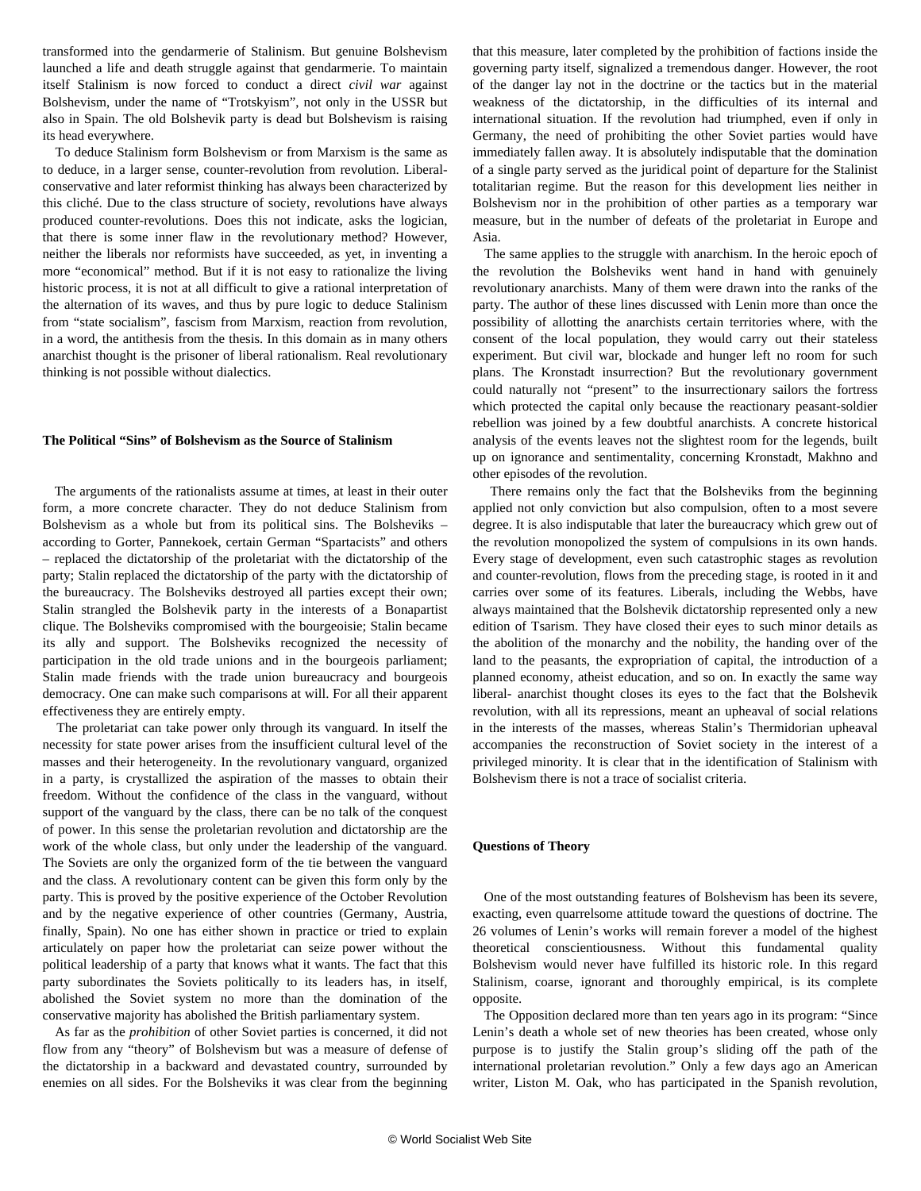transformed into the gendarmerie of Stalinism. But genuine Bolshevism launched a life and death struggle against that gendarmerie. To maintain itself Stalinism is now forced to conduct a direct *civil war* against Bolshevism, under the name of "Trotskyism", not only in the USSR but also in Spain. The old Bolshevik party is dead but Bolshevism is raising its head everywhere.

 To deduce Stalinism form Bolshevism or from Marxism is the same as to deduce, in a larger sense, counter-revolution from revolution. Liberalconservative and later reformist thinking has always been characterized by this cliché. Due to the class structure of society, revolutions have always produced counter-revolutions. Does this not indicate, asks the logician, that there is some inner flaw in the revolutionary method? However, neither the liberals nor reformists have succeeded, as yet, in inventing a more "economical" method. But if it is not easy to rationalize the living historic process, it is not at all difficult to give a rational interpretation of the alternation of its waves, and thus by pure logic to deduce Stalinism from "state socialism", fascism from Marxism, reaction from revolution, in a word, the antithesis from the thesis. In this domain as in many others anarchist thought is the prisoner of liberal rationalism. Real revolutionary thinking is not possible without dialectics.

#### **The Political "Sins" of Bolshevism as the Source of Stalinism**

 The arguments of the rationalists assume at times, at least in their outer form, a more concrete character. They do not deduce Stalinism from Bolshevism as a whole but from its political sins. The Bolsheviks – according to Gorter, Pannekoek, certain German "Spartacists" and others – replaced the dictatorship of the proletariat with the dictatorship of the party; Stalin replaced the dictatorship of the party with the dictatorship of the bureaucracy. The Bolsheviks destroyed all parties except their own; Stalin strangled the Bolshevik party in the interests of a Bonapartist clique. The Bolsheviks compromised with the bourgeoisie; Stalin became its ally and support. The Bolsheviks recognized the necessity of participation in the old trade unions and in the bourgeois parliament; Stalin made friends with the trade union bureaucracy and bourgeois democracy. One can make such comparisons at will. For all their apparent effectiveness they are entirely empty.

 The proletariat can take power only through its vanguard. In itself the necessity for state power arises from the insufficient cultural level of the masses and their heterogeneity. In the revolutionary vanguard, organized in a party, is crystallized the aspiration of the masses to obtain their freedom. Without the confidence of the class in the vanguard, without support of the vanguard by the class, there can be no talk of the conquest of power. In this sense the proletarian revolution and dictatorship are the work of the whole class, but only under the leadership of the vanguard. The Soviets are only the organized form of the tie between the vanguard and the class. A revolutionary content can be given this form only by the party. This is proved by the positive experience of the October Revolution and by the negative experience of other countries (Germany, Austria, finally, Spain). No one has either shown in practice or tried to explain articulately on paper how the proletariat can seize power without the political leadership of a party that knows what it wants. The fact that this party subordinates the Soviets politically to its leaders has, in itself, abolished the Soviet system no more than the domination of the conservative majority has abolished the British parliamentary system.

 As far as the *prohibition* of other Soviet parties is concerned, it did not flow from any "theory" of Bolshevism but was a measure of defense of the dictatorship in a backward and devastated country, surrounded by enemies on all sides. For the Bolsheviks it was clear from the beginning

that this measure, later completed by the prohibition of factions inside the governing party itself, signalized a tremendous danger. However, the root of the danger lay not in the doctrine or the tactics but in the material weakness of the dictatorship, in the difficulties of its internal and international situation. If the revolution had triumphed, even if only in Germany, the need of prohibiting the other Soviet parties would have immediately fallen away. It is absolutely indisputable that the domination of a single party served as the juridical point of departure for the Stalinist totalitarian regime. But the reason for this development lies neither in Bolshevism nor in the prohibition of other parties as a temporary war measure, but in the number of defeats of the proletariat in Europe and Asia.

 The same applies to the struggle with anarchism. In the heroic epoch of the revolution the Bolsheviks went hand in hand with genuinely revolutionary anarchists. Many of them were drawn into the ranks of the party. The author of these lines discussed with Lenin more than once the possibility of allotting the anarchists certain territories where, with the consent of the local population, they would carry out their stateless experiment. But civil war, blockade and hunger left no room for such plans. The Kronstadt insurrection? But the revolutionary government could naturally not "present" to the insurrectionary sailors the fortress which protected the capital only because the reactionary peasant-soldier rebellion was joined by a few doubtful anarchists. A concrete historical analysis of the events leaves not the slightest room for the legends, built up on ignorance and sentimentality, concerning Kronstadt, Makhno and other episodes of the revolution.

 There remains only the fact that the Bolsheviks from the beginning applied not only conviction but also compulsion, often to a most severe degree. It is also indisputable that later the bureaucracy which grew out of the revolution monopolized the system of compulsions in its own hands. Every stage of development, even such catastrophic stages as revolution and counter-revolution, flows from the preceding stage, is rooted in it and carries over some of its features. Liberals, including the Webbs, have always maintained that the Bolshevik dictatorship represented only a new edition of Tsarism. They have closed their eyes to such minor details as the abolition of the monarchy and the nobility, the handing over of the land to the peasants, the expropriation of capital, the introduction of a planned economy, atheist education, and so on. In exactly the same way liberal- anarchist thought closes its eyes to the fact that the Bolshevik revolution, with all its repressions, meant an upheaval of social relations in the interests of the masses, whereas Stalin's Thermidorian upheaval accompanies the reconstruction of Soviet society in the interest of a privileged minority. It is clear that in the identification of Stalinism with Bolshevism there is not a trace of socialist criteria.

#### **Questions of Theory**

 One of the most outstanding features of Bolshevism has been its severe, exacting, even quarrelsome attitude toward the questions of doctrine. The 26 volumes of Lenin's works will remain forever a model of the highest theoretical conscientiousness. Without this fundamental quality Bolshevism would never have fulfilled its historic role. In this regard Stalinism, coarse, ignorant and thoroughly empirical, is its complete opposite.

 The Opposition declared more than ten years ago in its program: "Since Lenin's death a whole set of new theories has been created, whose only purpose is to justify the Stalin group's sliding off the path of the international proletarian revolution." Only a few days ago an American writer, Liston M. Oak, who has participated in the Spanish revolution,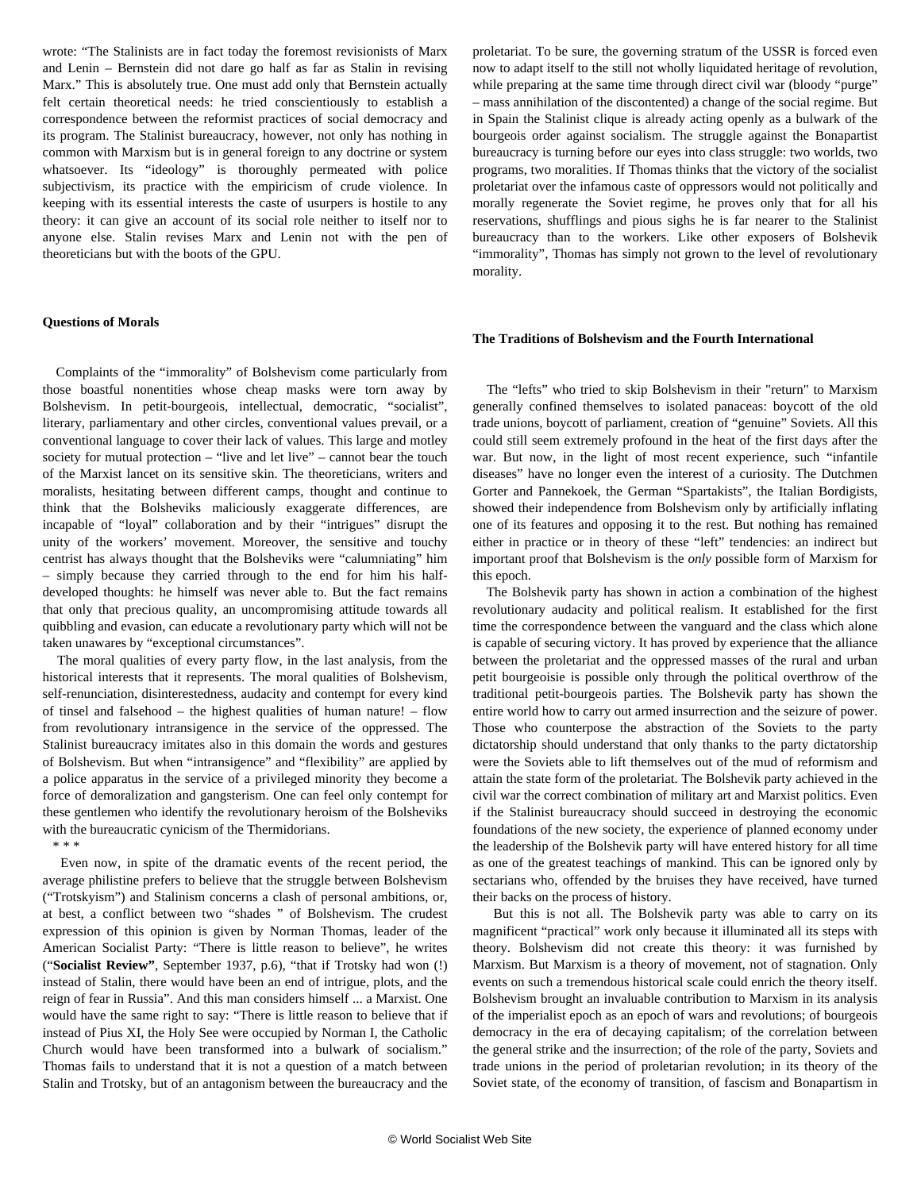wrote: "The Stalinists are in fact today the foremost revisionists of Marx and Lenin – Bernstein did not dare go half as far as Stalin in revising Marx." This is absolutely true. One must add only that Bernstein actually felt certain theoretical needs: he tried conscientiously to establish a correspondence between the reformist practices of social democracy and its program. The Stalinist bureaucracy, however, not only has nothing in common with Marxism but is in general foreign to any doctrine or system whatsoever. Its "ideology" is thoroughly permeated with police subjectivism, its practice with the empiricism of crude violence. In keeping with its essential interests the caste of usurpers is hostile to any theory: it can give an account of its social role neither to itself nor to anyone else. Stalin revises Marx and Lenin not with the pen of theoreticians but with the boots of the GPU.

#### **Questions of Morals**

 Complaints of the "immorality" of Bolshevism come particularly from those boastful nonentities whose cheap masks were torn away by Bolshevism. In petit-bourgeois, intellectual, democratic, "socialist", literary, parliamentary and other circles, conventional values prevail, or a conventional language to cover their lack of values. This large and motley society for mutual protection – "live and let live" – cannot bear the touch of the Marxist lancet on its sensitive skin. The theoreticians, writers and moralists, hesitating between different camps, thought and continue to think that the Bolsheviks maliciously exaggerate differences, are incapable of "loyal" collaboration and by their "intrigues" disrupt the unity of the workers' movement. Moreover, the sensitive and touchy centrist has always thought that the Bolsheviks were "calumniating" him – simply because they carried through to the end for him his halfdeveloped thoughts: he himself was never able to. But the fact remains that only that precious quality, an uncompromising attitude towards all quibbling and evasion, can educate a revolutionary party which will not be taken unawares by "exceptional circumstances".

 The moral qualities of every party flow, in the last analysis, from the historical interests that it represents. The moral qualities of Bolshevism, self-renunciation, disinterestedness, audacity and contempt for every kind of tinsel and falsehood – the highest qualities of human nature! – flow from revolutionary intransigence in the service of the oppressed. The Stalinist bureaucracy imitates also in this domain the words and gestures of Bolshevism. But when "intransigence" and "flexibility" are applied by a police apparatus in the service of a privileged minority they become a force of demoralization and gangsterism. One can feel only contempt for these gentlemen who identify the revolutionary heroism of the Bolsheviks with the bureaucratic cynicism of the Thermidorians.

\* \* \*

 Even now, in spite of the dramatic events of the recent period, the average philistine prefers to believe that the struggle between Bolshevism ("Trotskyism") and Stalinism concerns a clash of personal ambitions, or, at best, a conflict between two "shades " of Bolshevism. The crudest expression of this opinion is given by Norman Thomas, leader of the American Socialist Party: "There is little reason to believe", he writes ("**Socialist Review"**, September 1937, p.6), "that if Trotsky had won (!) instead of Stalin, there would have been an end of intrigue, plots, and the reign of fear in Russia". And this man considers himself ... a Marxist. One would have the same right to say: "There is little reason to believe that if instead of Pius XI, the Holy See were occupied by Norman I, the Catholic Church would have been transformed into a bulwark of socialism." Thomas fails to understand that it is not a question of a match between Stalin and Trotsky, but of an antagonism between the bureaucracy and the

proletariat. To be sure, the governing stratum of the USSR is forced even now to adapt itself to the still not wholly liquidated heritage of revolution, while preparing at the same time through direct civil war (bloody "purge" – mass annihilation of the discontented) a change of the social regime. But in Spain the Stalinist clique is already acting openly as a bulwark of the bourgeois order against socialism. The struggle against the Bonapartist bureaucracy is turning before our eyes into class struggle: two worlds, two programs, two moralities. If Thomas thinks that the victory of the socialist proletariat over the infamous caste of oppressors would not politically and morally regenerate the Soviet regime, he proves only that for all his reservations, shufflings and pious sighs he is far nearer to the Stalinist bureaucracy than to the workers. Like other exposers of Bolshevik "immorality", Thomas has simply not grown to the level of revolutionary morality.

#### **The Traditions of Bolshevism and the Fourth International**

 The "lefts" who tried to skip Bolshevism in their "return" to Marxism generally confined themselves to isolated panaceas: boycott of the old trade unions, boycott of parliament, creation of "genuine" Soviets. All this could still seem extremely profound in the heat of the first days after the war. But now, in the light of most recent experience, such "infantile diseases" have no longer even the interest of a curiosity. The Dutchmen Gorter and Pannekoek, the German "Spartakists", the Italian Bordigists, showed their independence from Bolshevism only by artificially inflating one of its features and opposing it to the rest. But nothing has remained either in practice or in theory of these "left" tendencies: an indirect but important proof that Bolshevism is the *only* possible form of Marxism for this epoch.

 The Bolshevik party has shown in action a combination of the highest revolutionary audacity and political realism. It established for the first time the correspondence between the vanguard and the class which alone is capable of securing victory. It has proved by experience that the alliance between the proletariat and the oppressed masses of the rural and urban petit bourgeoisie is possible only through the political overthrow of the traditional petit-bourgeois parties. The Bolshevik party has shown the entire world how to carry out armed insurrection and the seizure of power. Those who counterpose the abstraction of the Soviets to the party dictatorship should understand that only thanks to the party dictatorship were the Soviets able to lift themselves out of the mud of reformism and attain the state form of the proletariat. The Bolshevik party achieved in the civil war the correct combination of military art and Marxist politics. Even if the Stalinist bureaucracy should succeed in destroying the economic foundations of the new society, the experience of planned economy under the leadership of the Bolshevik party will have entered history for all time as one of the greatest teachings of mankind. This can be ignored only by sectarians who, offended by the bruises they have received, have turned their backs on the process of history.

 But this is not all. The Bolshevik party was able to carry on its magnificent "practical" work only because it illuminated all its steps with theory. Bolshevism did not create this theory: it was furnished by Marxism. But Marxism is a theory of movement, not of stagnation. Only events on such a tremendous historical scale could enrich the theory itself. Bolshevism brought an invaluable contribution to Marxism in its analysis of the imperialist epoch as an epoch of wars and revolutions; of bourgeois democracy in the era of decaying capitalism; of the correlation between the general strike and the insurrection; of the role of the party, Soviets and trade unions in the period of proletarian revolution; in its theory of the Soviet state, of the economy of transition, of fascism and Bonapartism in